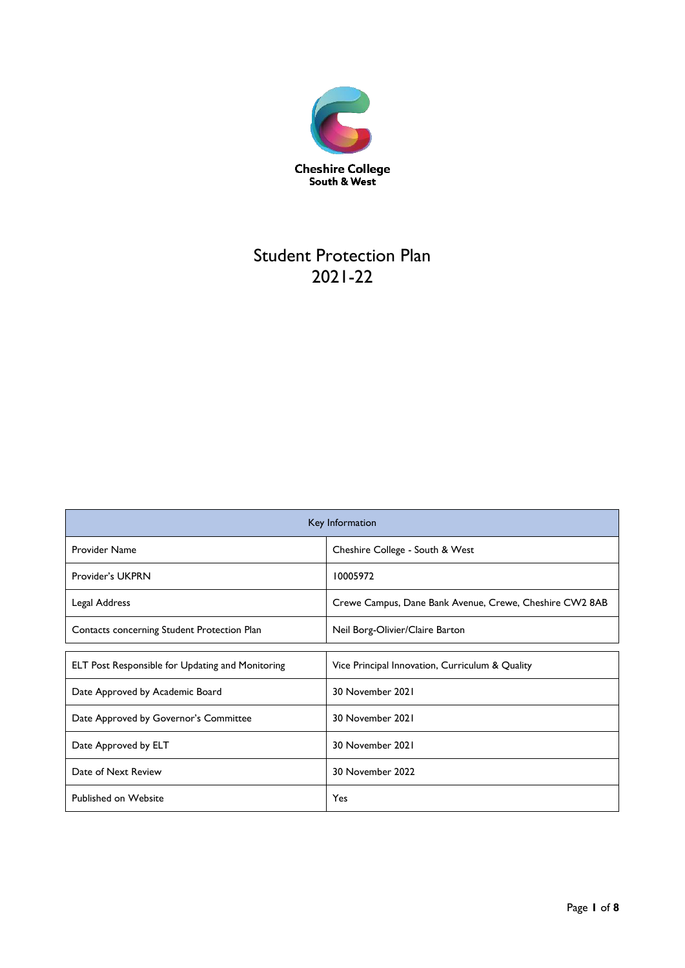

# Student Protection Plan 2021-22

| Key Information                                                                |                                                 |  |
|--------------------------------------------------------------------------------|-------------------------------------------------|--|
| <b>Provider Name</b><br>Cheshire College - South & West                        |                                                 |  |
| Provider's UKPRN                                                               | 10005972                                        |  |
| Legal Address<br>Crewe Campus, Dane Bank Avenue, Crewe, Cheshire CW2 8AB       |                                                 |  |
| Contacts concerning Student Protection Plan<br>Neil Borg-Olivier/Claire Barton |                                                 |  |
|                                                                                |                                                 |  |
| ELT Post Responsible for Updating and Monitoring                               | Vice Principal Innovation, Curriculum & Quality |  |
| Date Approved by Academic Board                                                | 30 November 2021                                |  |
| Date Approved by Governor's Committee                                          | 30 November 2021                                |  |
| Date Approved by ELT                                                           | 30 November 2021                                |  |
| Date of Next Review                                                            | 30 November 2022                                |  |
| Published on Website                                                           | Yes                                             |  |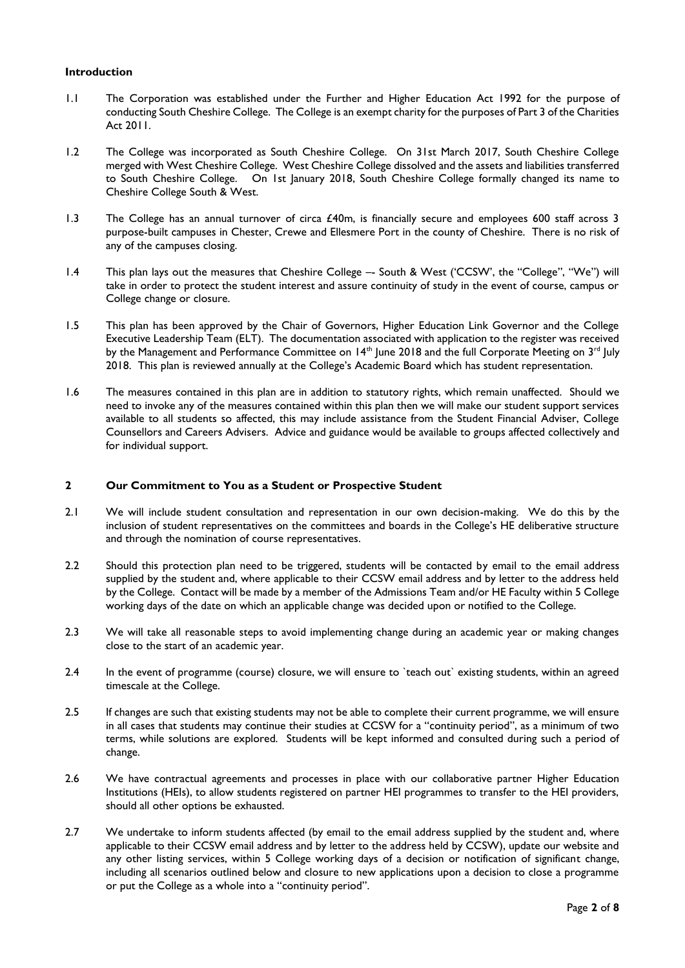# **Introduction**

- 1.1 The Corporation was established under the Further and Higher Education Act 1992 for the purpose of conducting South Cheshire College. The College is an exempt charity for the purposes of Part 3 of the Charities Act 2011.
- 1.2 The College was incorporated as South Cheshire College. On 31st March 2017, South Cheshire College merged with West Cheshire College. West Cheshire College dissolved and the assets and liabilities transferred to South Cheshire College. On 1st January 2018, South Cheshire College formally changed its name to Cheshire College South & West.
- 1.3 The College has an annual turnover of circa £40m, is financially secure and employees 600 staff across 3 purpose-built campuses in Chester, Crewe and Ellesmere Port in the county of Cheshire. There is no risk of any of the campuses closing.
- 1.4 This plan lays out the measures that Cheshire College -- South & West ('CCSW', the "College", "We") will take in order to protect the student interest and assure continuity of study in the event of course, campus or College change or closure.
- 1.5 This plan has been approved by the Chair of Governors, Higher Education Link Governor and the College Executive Leadership Team (ELT). The documentation associated with application to the register was received by the Management and Performance Committee on 14<sup>th</sup> June 2018 and the full Corporate Meeting on 3<sup>rd</sup> July 2018. This plan is reviewed annually at the College's Academic Board which has student representation.
- 1.6 The measures contained in this plan are in addition to statutory rights, which remain unaffected. Should we need to invoke any of the measures contained within this plan then we will make our student support services available to all students so affected, this may include assistance from the Student Financial Adviser, College Counsellors and Careers Advisers. Advice and guidance would be available to groups affected collectively and for individual support.

# **2 Our Commitment to You as a Student or Prospective Student**

- 2.1 We will include student consultation and representation in our own decision-making. We do this by the inclusion of student representatives on the committees and boards in the College's HE deliberative structure and through the nomination of course representatives.
- 2.2 Should this protection plan need to be triggered, students will be contacted by email to the email address supplied by the student and, where applicable to their CCSW email address and by letter to the address held by the College. Contact will be made by a member of the Admissions Team and/or HE Faculty within 5 College working days of the date on which an applicable change was decided upon or notified to the College.
- 2.3 We will take all reasonable steps to avoid implementing change during an academic year or making changes close to the start of an academic year.
- 2.4 In the event of programme (course) closure, we will ensure to `teach out` existing students, within an agreed timescale at the College.
- 2.5 If changes are such that existing students may not be able to complete their current programme, we will ensure in all cases that students may continue their studies at CCSW for a "continuity period", as a minimum of two terms, while solutions are explored. Students will be kept informed and consulted during such a period of change.
- 2.6 We have contractual agreements and processes in place with our collaborative partner Higher Education Institutions (HEIs), to allow students registered on partner HEI programmes to transfer to the HEI providers, should all other options be exhausted.
- 2.7 We undertake to inform students affected (by email to the email address supplied by the student and, where applicable to their CCSW email address and by letter to the address held by CCSW), update our website and any other listing services, within 5 College working days of a decision or notification of significant change, including all scenarios outlined below and closure to new applications upon a decision to close a programme or put the College as a whole into a "continuity period".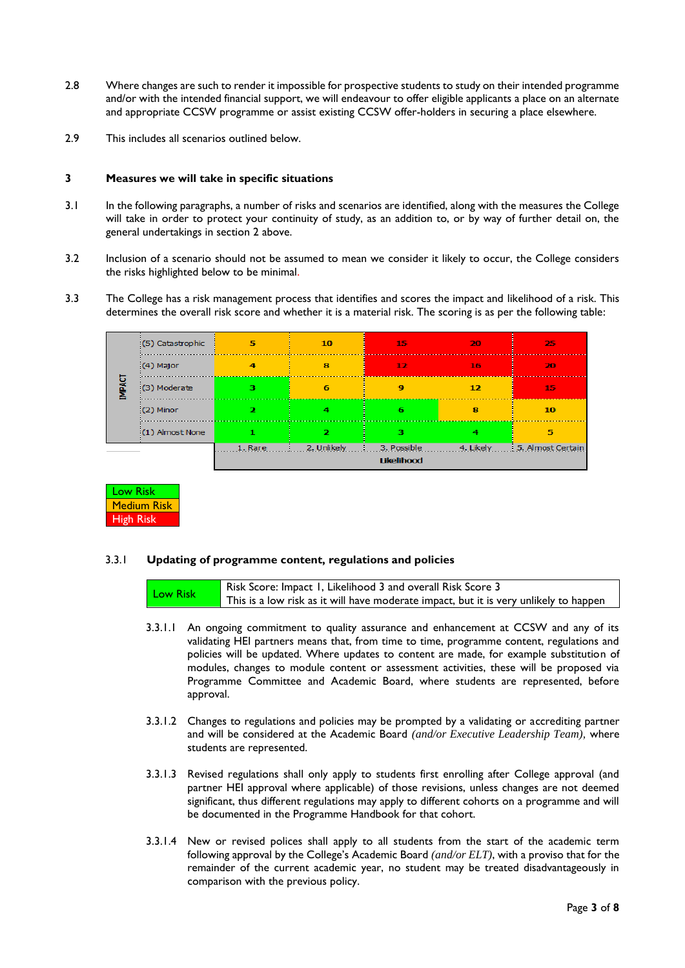- 2.8 Where changes are such to render it impossible for prospective students to study on their intended programme and/or with the intended financial support, we will endeavour to offer eligible applicants a place on an alternate and appropriate CCSW programme or assist existing CCSW offer-holders in securing a place elsewhere.
- 2.9 This includes all scenarios outlined below.

#### **3 Measures we will take in specific situations**

- 3.1 In the following paragraphs, a number of risks and scenarios are identified, along with the measures the College will take in order to protect your continuity of study, as an addition to, or by way of further detail on, the general undertakings in section 2 above.
- 3.2 Inclusion of a scenario should not be assumed to mean we consider it likely to occur, the College considers the risks highlighted below to be minimal.
- 3.3 The College has a risk management process that identifies and scores the impact and likelihood of a risk. This determines the overall risk score and whether it is a material risk. The scoring is as per the following table:

| <b>IMPACT</b> | (5) Catastrophic | 5              | 10          | 15          | 20        | 25                |
|---------------|------------------|----------------|-------------|-------------|-----------|-------------------|
|               | (4) Major        | $\overline{4}$ | 8           | 12          | 16        | 20                |
|               | (3) Moderate     | з              | 6           | $\mathbf Q$ | 12        | 15                |
|               | $(2)$ Minor      | 2              | 4           | 6           | 8         | 10                |
|               | (1) Almost None  |                | 2           | з           | 4         | 5                 |
|               |                  | 1. Rare        | 2. Unlikely | 3. Possible | 4. Likely | 5. Almost Certain |
|               | Likelihood       |                |             |             |           |                   |



#### 3.3.1 **Updating of programme content, regulations and policies**

|          | Risk Score: Impact 1, Likelihood 3 and overall Risk Score 3                           |
|----------|---------------------------------------------------------------------------------------|
| Low Risk | This is a low risk as it will have moderate impact, but it is very unlikely to happen |

- 3.3.1.1 An ongoing commitment to quality assurance and enhancement at CCSW and any of its validating HEI partners means that, from time to time, programme content, regulations and policies will be updated. Where updates to content are made, for example substitution of modules, changes to module content or assessment activities, these will be proposed via Programme Committee and Academic Board, where students are represented, before approval.
- 3.3.1.2 Changes to regulations and policies may be prompted by a validating or accrediting partner and will be considered at the Academic Board *(and/or Executive Leadership Team),* where students are represented.
- 3.3.1.3 Revised regulations shall only apply to students first enrolling after College approval (and partner HEI approval where applicable) of those revisions, unless changes are not deemed significant, thus different regulations may apply to different cohorts on a programme and will be documented in the Programme Handbook for that cohort.
- 3.3.1.4 New or revised polices shall apply to all students from the start of the academic term following approval by the College's Academic Board *(and/or ELT)*, with a proviso that for the remainder of the current academic year, no student may be treated disadvantageously in comparison with the previous policy.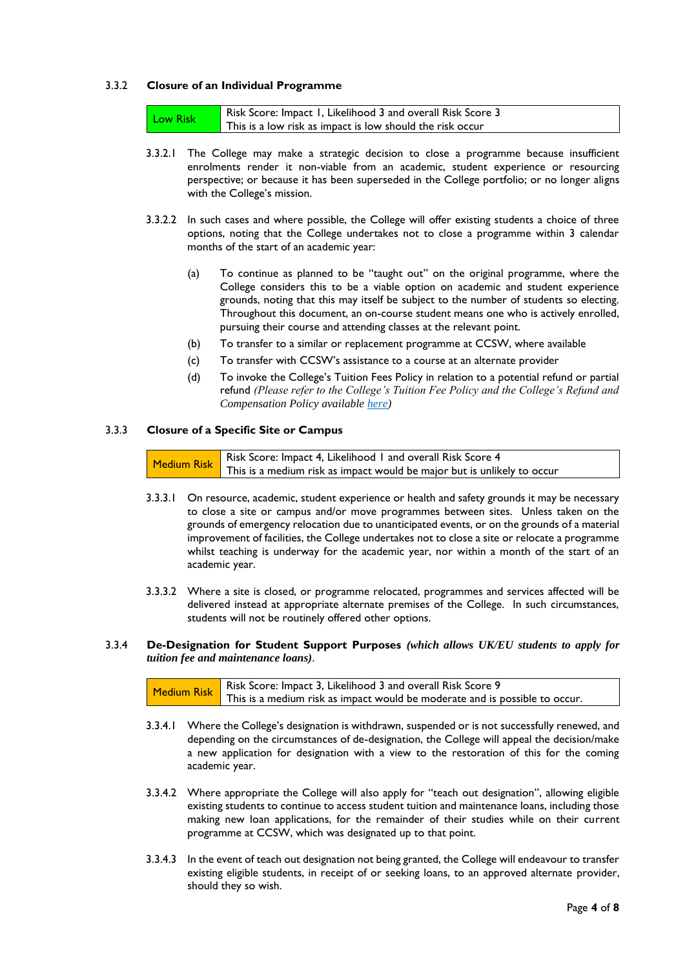# 3.3.2 **Closure of an Individual Programme**

| Low Risk | Risk Score: Impact 1, Likelihood 3 and overall Risk Score 3 |
|----------|-------------------------------------------------------------|
|          | This is a low risk as impact is low should the risk occur   |

- 3.3.2.1 The College may make a strategic decision to close a programme because insufficient enrolments render it non-viable from an academic, student experience or resourcing perspective; or because it has been superseded in the College portfolio; or no longer aligns with the College's mission.
- 3.3.2.2 In such cases and where possible, the College will offer existing students a choice of three options, noting that the College undertakes not to close a programme within 3 calendar months of the start of an academic year:
	- (a) To continue as planned to be "taught out" on the original programme, where the College considers this to be a viable option on academic and student experience grounds, noting that this may itself be subject to the number of students so electing. Throughout this document, an on-course student means one who is actively enrolled, pursuing their course and attending classes at the relevant point.
	- (b) To transfer to a similar or replacement programme at CCSW, where available
	- (c) To transfer with CCSW's assistance to a course at an alternate provider
	- (d) To invoke the College's Tuition Fees Policy in relation to a potential refund or partial refund *(Please refer to the College's Tuition Fee Policy and the College's Refund and Compensation Policy available [here\)](https://www.ccsw.ac.uk/the-college/policies-reports/)*

# 3.3.3 **Closure of a Specific Site or Campus**

Medium Risk Risk Score: Impact 4, Likelihood 1 and overall Risk Score 4 This is a medium risk as impact would be major but is unlikely to occur

- 3.3.3.1 On resource, academic, student experience or health and safety grounds it may be necessary to close a site or campus and/or move programmes between sites. Unless taken on the grounds of emergency relocation due to unanticipated events, or on the grounds of a material improvement of facilities, the College undertakes not to close a site or relocate a programme whilst teaching is underway for the academic year, nor within a month of the start of an academic year.
- 3.3.3.2 Where a site is closed, or programme relocated, programmes and services affected will be delivered instead at appropriate alternate premises of the College. In such circumstances, students will not be routinely offered other options.

#### 3.3.4 **De-Designation for Student Support Purposes** *(which allows UK/EU students to apply for tuition fee and maintenance loans)*.

| Risk Score: Impact 3, Likelihood 3 and overall Risk Score 9                            |
|----------------------------------------------------------------------------------------|
| Medium Risk This is a medium risk as impact would be moderate and is possible to occur |

- 3.3.4.1 Where the College's designation is withdrawn, suspended or is not successfully renewed, and depending on the circumstances of de-designation, the College will appeal the decision/make a new application for designation with a view to the restoration of this for the coming academic year.
- 3.3.4.2 Where appropriate the College will also apply for "teach out designation", allowing eligible existing students to continue to access student tuition and maintenance loans, including those making new loan applications, for the remainder of their studies while on their current programme at CCSW, which was designated up to that point.
- 3.3.4.3 In the event of teach out designation not being granted, the College will endeavour to transfer existing eligible students, in receipt of or seeking loans, to an approved alternate provider, should they so wish.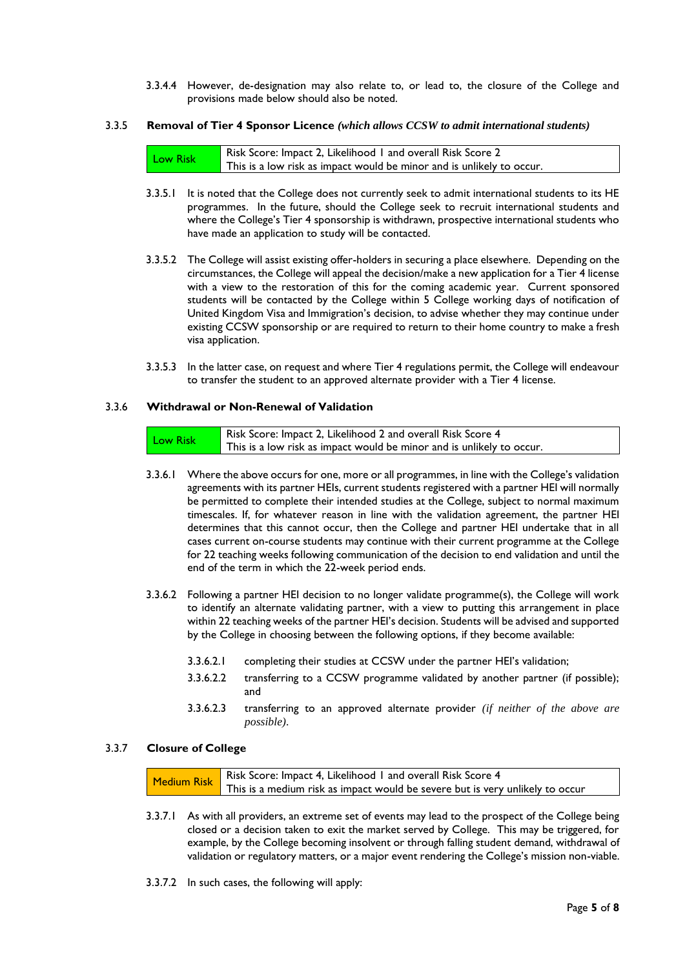3.3.4.4 However, de-designation may also relate to, or lead to, the closure of the College and provisions made below should also be noted.

### 3.3.5 **Removal of Tier 4 Sponsor Licence** *(which allows CCSW to admit international students)*

|          | Risk Score: Impact 2, Likelihood 1 and overall Risk Score 2           |
|----------|-----------------------------------------------------------------------|
| Low Risk | This is a low risk as impact would be minor and is unlikely to occur. |

- 3.3.5.1 It is noted that the College does not currently seek to admit international students to its HE programmes. In the future, should the College seek to recruit international students and where the College's Tier 4 sponsorship is withdrawn, prospective international students who have made an application to study will be contacted.
- 3.3.5.2 The College will assist existing offer-holders in securing a place elsewhere. Depending on the circumstances, the College will appeal the decision/make a new application for a Tier 4 license with a view to the restoration of this for the coming academic year. Current sponsored students will be contacted by the College within 5 College working days of notification of United Kingdom Visa and Immigration's decision, to advise whether they may continue under existing CCSW sponsorship or are required to return to their home country to make a fresh visa application.
- 3.3.5.3 In the latter case, on request and where Tier 4 regulations permit, the College will endeavour to transfer the student to an approved alternate provider with a Tier 4 license.

#### 3.3.6 **Withdrawal or Non-Renewal of Validation**

| <b>Low Risk</b> | Risk Score: Impact 2, Likelihood 2 and overall Risk Score 4           |
|-----------------|-----------------------------------------------------------------------|
|                 | This is a low risk as impact would be minor and is unlikely to occur. |

- 3.3.6.1 Where the above occurs for one, more or all programmes, in line with the College's validation agreements with its partner HEIs, current students registered with a partner HEI will normally be permitted to complete their intended studies at the College, subject to normal maximum timescales. If, for whatever reason in line with the validation agreement, the partner HEI determines that this cannot occur, then the College and partner HEI undertake that in all cases current on-course students may continue with their current programme at the College for 22 teaching weeks following communication of the decision to end validation and until the end of the term in which the 22-week period ends.
- 3.3.6.2 Following a partner HEI decision to no longer validate programme(s), the College will work to identify an alternate validating partner, with a view to putting this arrangement in place within 22 teaching weeks of the partner HEI's decision. Students will be advised and supported by the College in choosing between the following options, if they become available:
	- 3.3.6.2.1 completing their studies at CCSW under the partner HEI's validation;
	- 3.3.6.2.2 transferring to a CCSW programme validated by another partner (if possible); and
	- 3.3.6.2.3 transferring to an approved alternate provider *(if neither of the above are possible)*.

#### 3.3.7 **Closure of College**

Medium Risk Risk Score: Impact 4, Likelihood 1 and overall Risk Score 4 This is a medium risk as impact would be severe but is very unlikely to occur

- 3.3.7.1 As with all providers, an extreme set of events may lead to the prospect of the College being closed or a decision taken to exit the market served by College. This may be triggered, for example, by the College becoming insolvent or through falling student demand, withdrawal of validation or regulatory matters, or a major event rendering the College's mission non-viable.
- 3.3.7.2 In such cases, the following will apply: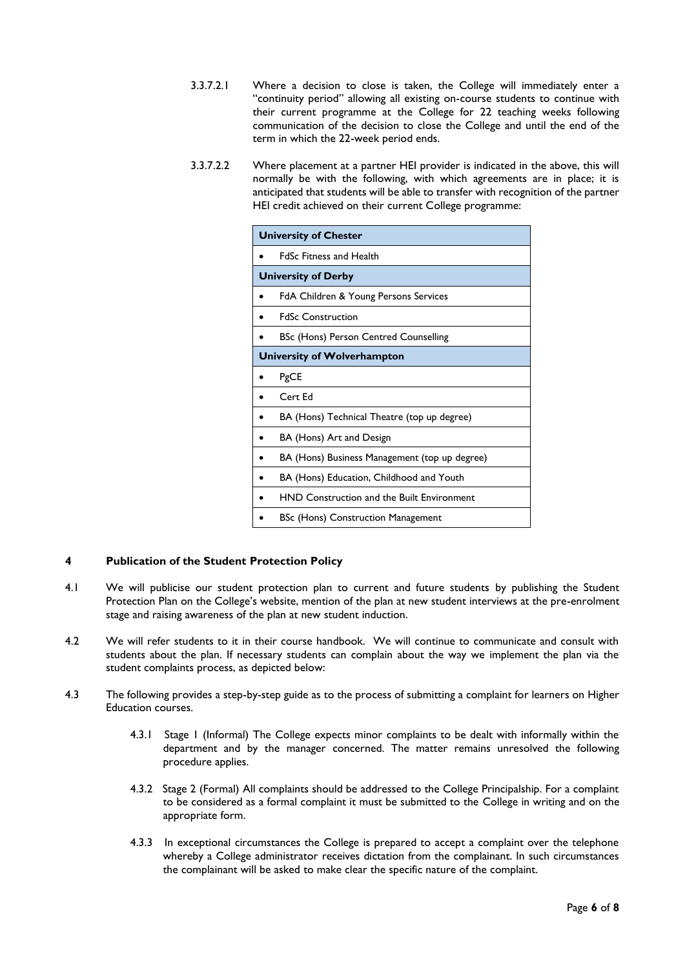- 3.3.7.2.1 Where a decision to close is taken, the College will immediately enter a "continuity period" allowing all existing on-course students to continue with their current programme at the College for 22 teaching weeks following communication of the decision to close the College and until the end of the term in which the 22-week period ends.
- 3.3.7.2.2 Where placement at a partner HEI provider is indicated in the above, this will normally be with the following, with which agreements are in place; it is anticipated that students will be able to transfer with recognition of the partner HEI credit achieved on their current College programme:

| <b>University of Chester</b> |                                               |  |
|------------------------------|-----------------------------------------------|--|
|                              | <b>FdSc Fitness and Health</b>                |  |
|                              | <b>University of Derby</b>                    |  |
|                              | FdA Children & Young Persons Services         |  |
|                              | <b>FdSc Construction</b>                      |  |
|                              | BSc (Hons) Person Centred Counselling         |  |
| University of Wolverhampton  |                                               |  |
|                              | PgCE                                          |  |
|                              | Cert Ed                                       |  |
|                              | BA (Hons) Technical Theatre (top up degree)   |  |
|                              | BA (Hons) Art and Design                      |  |
|                              | BA (Hons) Business Management (top up degree) |  |
|                              | BA (Hons) Education, Childhood and Youth      |  |
|                              | HND Construction and the Built Environment    |  |
|                              | <b>BSc (Hons) Construction Management</b>     |  |

# **4 Publication of the Student Protection Policy**

- 4.1 We will publicise our student protection plan to current and future students by publishing the Student Protection Plan on the College's website, mention of the plan at new student interviews at the pre-enrolment stage and raising awareness of the plan at new student induction.
- 4.2 We will refer students to it in their course handbook. We will continue to communicate and consult with students about the plan. If necessary students can complain about the way we implement the plan via the student complaints process, as depicted below:
- 4.3 The following provides a step-by-step guide as to the process of submitting a complaint for learners on Higher Education courses.
	- 4.3.1 Stage 1 (Informal) The College expects minor complaints to be dealt with informally within the department and by the manager concerned. The matter remains unresolved the following procedure applies.
	- 4.3.2 Stage 2 (Formal) All complaints should be addressed to the College Principalship. For a complaint to be considered as a formal complaint it must be submitted to the College in writing and on the appropriate form.
	- 4.3.3 In exceptional circumstances the College is prepared to accept a complaint over the telephone whereby a College administrator receives dictation from the complainant. In such circumstances the complainant will be asked to make clear the specific nature of the complaint.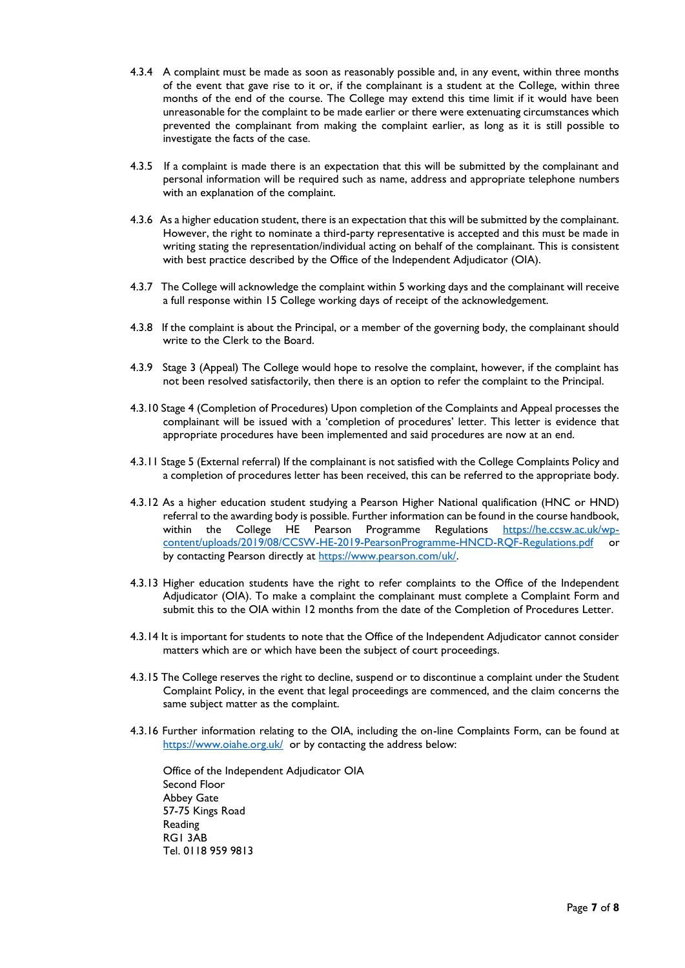- 4.3.4 A complaint must be made as soon as reasonably possible and, in any event, within three months of the event that gave rise to it or, if the complainant is a student at the College, within three months of the end of the course. The College may extend this time limit if it would have been unreasonable for the complaint to be made earlier or there were extenuating circumstances which prevented the complainant from making the complaint earlier, as long as it is still possible to investigate the facts of the case.
- 4.3.5 If a complaint is made there is an expectation that this will be submitted by the complainant and personal information will be required such as name, address and appropriate telephone numbers with an explanation of the complaint.
- 4.3.6 As a higher education student, there is an expectation that this will be submitted by the complainant. However, the right to nominate a third-party representative is accepted and this must be made in writing stating the representation/individual acting on behalf of the complainant. This is consistent with best practice described by the Office of the Independent Adjudicator (OIA).
- 4.3.7 The College will acknowledge the complaint within 5 working days and the complainant will receive a full response within 15 College working days of receipt of the acknowledgement.
- 4.3.8 If the complaint is about the Principal, or a member of the governing body, the complainant should write to the Clerk to the Board.
- 4.3.9 Stage 3 (Appeal) The College would hope to resolve the complaint, however, if the complaint has not been resolved satisfactorily, then there is an option to refer the complaint to the Principal.
- 4.3.10 Stage 4 (Completion of Procedures) Upon completion of the Complaints and Appeal processes the complainant will be issued with a 'completion of procedures' letter. This letter is evidence that appropriate procedures have been implemented and said procedures are now at an end.
- 4.3.11 Stage 5 (External referral) If the complainant is not satisfied with the College Complaints Policy and a completion of procedures letter has been received, this can be referred to the appropriate body.
- 4.3.12 As a higher education student studying a Pearson Higher National qualification (HNC or HND) referral to the awarding body is possible. Further information can be found in the course handbook, within the College HE Pearson Programme Regulations [https://he.ccsw.ac.uk/wp](https://he.ccsw.ac.uk/wp-content/uploads/2019/08/CCSW-HE-2019-PearsonProgramme-HNCD-RQF-Regulations.pdf)[content/uploads/2019/08/CCSW-HE-2019-PearsonProgramme-HNCD-RQF-Regulations.pdf](https://he.ccsw.ac.uk/wp-content/uploads/2019/08/CCSW-HE-2019-PearsonProgramme-HNCD-RQF-Regulations.pdf) or by contacting Pearson directly at [https://www.pearson.com/uk/.](https://www.pearson.com/uk/)
- 4.3.13 Higher education students have the right to refer complaints to the Office of the Independent Adjudicator (OIA). To make a complaint the complainant must complete a Complaint Form and submit this to the OIA within 12 months from the date of the Completion of Procedures Letter.
- 4.3.14 It is important for students to note that the Office of the Independent Adjudicator cannot consider matters which are or which have been the subject of court proceedings.
- 4.3.15 The College reserves the right to decline, suspend or to discontinue a complaint under the Student Complaint Policy, in the event that legal proceedings are commenced, and the claim concerns the same subject matter as the complaint.
- 4.3.16 Further information relating to the OIA, including the on-line Complaints Form, can be found at <https://www.oiahe.org.uk/>or by contacting the address below:

Office of the Independent Adjudicator OIA Second Floor Abbey Gate 57-75 Kings Road Reading RG1 3AB Tel. 0118 959 9813